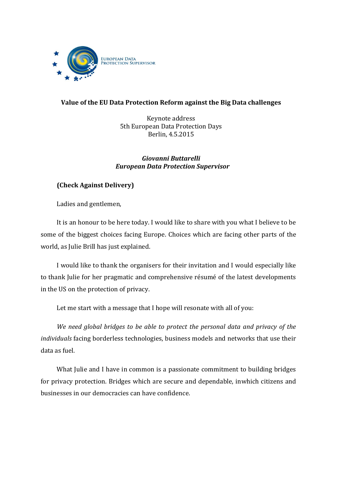

## **Value of the EU Data Protection Reform against the Big Data challenges**

Keynote address 5th European Data Protection Days Berlin, 4.5.2015

## *Giovanni Buttarelli European Data Protection Supervisor*

## **(Check Against Delivery)**

Ladies and gentlemen,

It is an honour to be here today. I would like to share with you what I believe to be some of the biggest choices facing Europe. Choices which are facing other parts of the world, as Julie Brill has just explained.

I would like to thank the organisers for their invitation and I would especially like to thank Julie for her pragmatic and comprehensive résumé of the latest developments in the US on the protection of privacy.

Let me start with a message that I hope will resonate with all of you:

*We need global bridges to be able to protect the personal data and privacy of the individuals* facing borderless technologies, business models and networks that use their data as fuel.

What Julie and I have in common is a passionate commitment to building bridges for privacy protection. Bridges which are secure and dependable, inwhich citizens and businesses in our democracies can have confidence.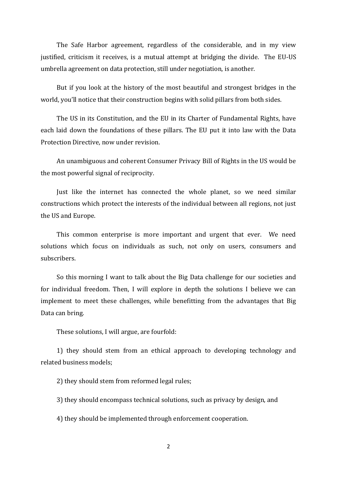The Safe Harbor agreement, regardless of the considerable, and in my view justified, criticism it receives, is a mutual attempt at bridging the divide. The EU-US umbrella agreement on data protection, still under negotiation, is another.

But if you look at the history of the most beautiful and strongest bridges in the world, you'll notice that their construction begins with solid pillars from both sides.

The US in its Constitution, and the EU in its Charter of Fundamental Rights, have each laid down the foundations of these pillars. The EU put it into law with the Data Protection Directive, now under revision.

An unambiguous and coherent Consumer Privacy Bill of Rights in the US would be the most powerful signal of reciprocity.

Just like the internet has connected the whole planet, so we need similar constructions which protect the interests of the individual between all regions, not just the US and Europe.

This common enterprise is more important and urgent that ever. We need solutions which focus on individuals as such, not only on users, consumers and subscribers.

So this morning I want to talk about the Big Data challenge for our societies and for individual freedom. Then, I will explore in depth the solutions I believe we can implement to meet these challenges, while benefitting from the advantages that Big Data can bring.

These solutions, I will argue, are fourfold:

1) they should stem from an ethical approach to developing technology and related business models;

2) they should stem from reformed legal rules;

3) they should encompass technical solutions, such as privacy by design, and

4) they should be implemented through enforcement cooperation.

2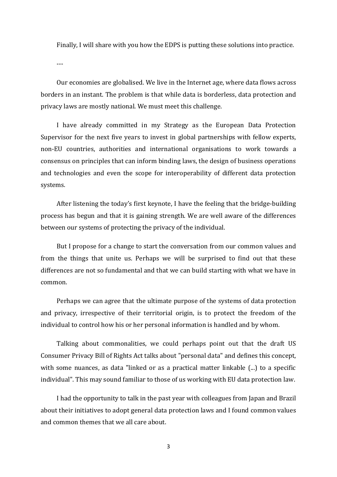Finally, I will share with you how the EDPS is putting these solutions into practice.

---

Our economies are globalised. We live in the Internet age, where data flows across borders in an instant. The problem is that while data is borderless, data protection and privacy laws are mostly national. We must meet this challenge.

I have already committed in my Strategy as the European Data Protection Supervisor for the next five years to invest in global partnerships with fellow experts, non-EU countries, authorities and international organisations to work towards a consensus on principles that can inform binding laws, the design of business operations and technologies and even the scope for interoperability of different data protection systems.

After listening the today's first keynote, I have the feeling that the bridge-building process has begun and that it is gaining strength. We are well aware of the differences between our systems of protecting the privacy of the individual.

But I propose for a change to start the conversation from our common values and from the things that unite us. Perhaps we will be surprised to find out that these differences are not so fundamental and that we can build starting with what we have in common.

Perhaps we can agree that the ultimate purpose of the systems of data protection and privacy, irrespective of their territorial origin, is to protect the freedom of the individual to control how his or her personal information is handled and by whom.

Talking about commonalities, we could perhaps point out that the draft US Consumer Privacy Bill of Rights Act talks about "personal data" and defines this concept, with some nuances, as data "linked or as a practical matter linkable  $(\ldots)$  to a specific individual". This may sound familiar to those of us working with EU data protection law.

I had the opportunity to talk in the past year with colleagues from Japan and Brazil about their initiatives to adopt general data protection laws and I found common values and common themes that we all care about.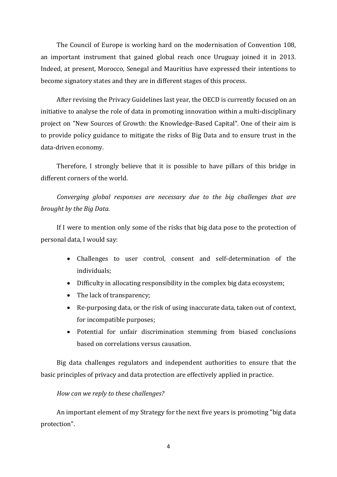The Council of Europe is working hard on the modernisation of Convention 108, an important instrument that gained global reach once Uruguay joined it in 2013. Indeed, at present, Morocco, Senegal and Mauritius have expressed their intentions to become signatory states and they are in different stages of this process.

After revising the Privacy Guidelines last year, the OECD is currently focused on an initiative to analyse the role of data in promoting innovation within a multi-disciplinary project on "New Sources of Growth: the Knowledge-Based Capital". One of their aim is to provide policy guidance to mitigate the risks of Big Data and to ensure trust in the data-driven economy.

Therefore, I strongly believe that it is possible to have pillars of this bridge in different corners of the world.

*Converging global responses are necessary due to the big challenges that are brought by the Big Data.*

If I were to mention only some of the risks that big data pose to the protection of personal data, I would say:

- Challenges to user control, consent and self-determination of the individuals;
- Difficulty in allocating responsibility in the complex big data ecosystem;
- The lack of transparency;
- Re-purposing data, or the risk of using inaccurate data, taken out of context, for incompatible purposes;
- Potential for unfair discrimination stemming from biased conclusions based on correlations versus causation.

Big data challenges regulators and independent authorities to ensure that the basic principles of privacy and data protection are effectively applied in practice.

## *How can we reply to these challenges?*

An important element of my Strategy for the next five years is promoting "big data protection".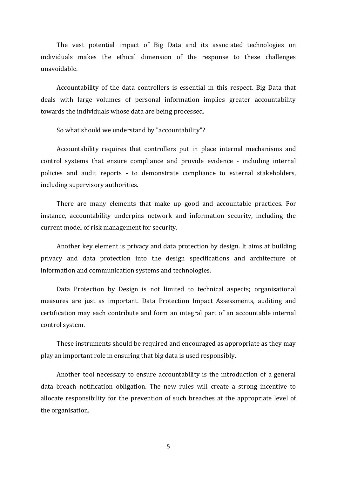The vast potential impact of Big Data and its associated technologies on individuals makes the ethical dimension of the response to these challenges unavoidable.

Accountability of the data controllers is essential in this respect. Big Data that deals with large volumes of personal information implies greater accountability towards the individuals whose data are being processed.

So what should we understand by "accountability"?

Accountability requires that controllers put in place internal mechanisms and control systems that ensure compliance and provide evidence - including internal policies and audit reports - to demonstrate compliance to external stakeholders, including supervisory authorities.

There are many elements that make up good and accountable practices. For instance, accountability underpins network and information security, including the current model of risk management for security.

Another key element is privacy and data protection by design. It aims at building privacy and data protection into the design specifications and architecture of information and communication systems and technologies.

Data Protection by Design is not limited to technical aspects; organisational measures are just as important. Data Protection Impact Assessments, auditing and certification may each contribute and form an integral part of an accountable internal control system.

These instruments should be required and encouraged as appropriate as they may play an important role in ensuring that big data is used responsibly.

Another tool necessary to ensure accountability is the introduction of a general data breach notification obligation. The new rules will create a strong incentive to allocate responsibility for the prevention of such breaches at the appropriate level of the organisation.

5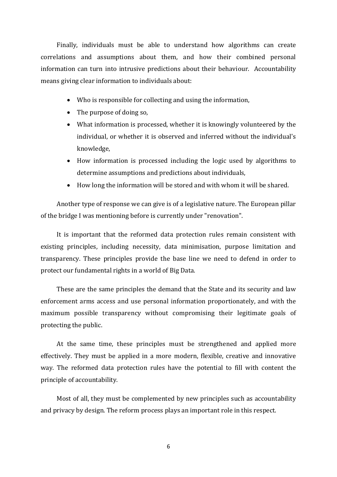Finally, individuals must be able to understand how algorithms can create correlations and assumptions about them, and how their combined personal information can turn into intrusive predictions about their behaviour. Accountability means giving clear information to individuals about:

- Who is responsible for collecting and using the information,
- The purpose of doing so,
- What information is processed, whether it is knowingly volunteered by the individual, or whether it is observed and inferred without the individual's knowledge,
- How information is processed including the logic used by algorithms to determine assumptions and predictions about individuals,
- How long the information will be stored and with whom it will be shared.

Another type of response we can give is of a legislative nature. The European pillar of the bridge I was mentioning before is currently under "renovation".

It is important that the reformed data protection rules remain consistent with existing principles, including necessity, data minimisation, purpose limitation and transparency. These principles provide the base line we need to defend in order to protect our fundamental rights in a world of Big Data.

These are the same principles the demand that the State and its security and law enforcement arms access and use personal information proportionately, and with the maximum possible transparency without compromising their legitimate goals of protecting the public.

At the same time, these principles must be strengthened and applied more effectively. They must be applied in a more modern, flexible, creative and innovative way. The reformed data protection rules have the potential to fill with content the principle of accountability.

Most of all, they must be complemented by new principles such as accountability and privacy by design. The reform process plays an important role in this respect.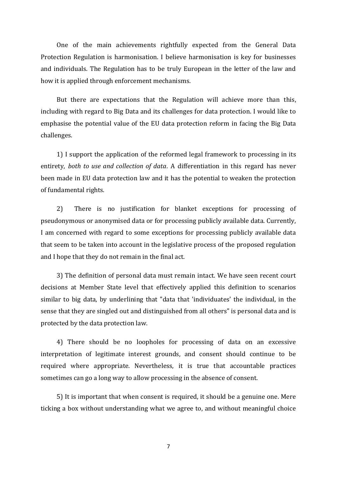One of the main achievements rightfully expected from the General Data Protection Regulation is harmonisation. I believe harmonisation is key for businesses and individuals. The Regulation has to be truly European in the letter of the law and how it is applied through enforcement mechanisms.

But there are expectations that the Regulation will achieve more than this, including with regard to Big Data and its challenges for data protection. I would like to emphasise the potential value of the EU data protection reform in facing the Big Data challenges.

1) I support the application of the reformed legal framework to processing in its entirety, *both to use and collection of data*. A differentiation in this regard has never been made in EU data protection law and it has the potential to weaken the protection of fundamental rights.

2) There is no justification for blanket exceptions for processing of pseudonymous or anonymised data or for processing publicly available data. Currently, I am concerned with regard to some exceptions for processing publicly available data that seem to be taken into account in the legislative process of the proposed regulation and I hope that they do not remain in the final act.

3) The definition of personal data must remain intact. We have seen recent court decisions at Member State level that effectively applied this definition to scenarios similar to big data, by underlining that "data that 'individuates' the individual, in the sense that they are singled out and distinguished from all others" is personal data and is protected by the data protection law.

4) There should be no loopholes for processing of data on an excessive interpretation of legitimate interest grounds, and consent should continue to be required where appropriate. Nevertheless, it is true that accountable practices sometimes can go a long way to allow processing in the absence of consent.

5) It is important that when consent is required, it should be a genuine one. Mere ticking a box without understanding what we agree to, and without meaningful choice

7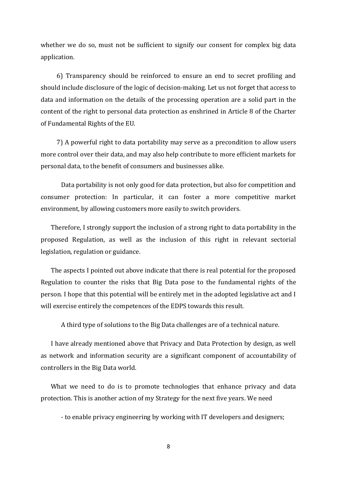whether we do so, must not be sufficient to signify our consent for complex big data application.

6) Transparency should be reinforced to ensure an end to secret profiling and should include disclosure of the logic of decision-making. Let us not forget that access to data and information on the details of the processing operation are a solid part in the content of the right to personal data protection as enshrined in Article 8 of the Charter of Fundamental Rights of the EU.

7) A powerful right to data portability may serve as a precondition to allow users more control over their data, and may also help contribute to more efficient markets for personal data, to the benefit of consumers and businesses alike.

Data portability is not only good for data protection, but also for competition and consumer protection: In particular, it can foster a more competitive market environment, by allowing customers more easily to switch providers.

Therefore, I strongly support the inclusion of a strong right to data portability in the proposed Regulation, as well as the inclusion of this right in relevant sectorial legislation, regulation or guidance.

The aspects I pointed out above indicate that there is real potential for the proposed Regulation to counter the risks that Big Data pose to the fundamental rights of the person. I hope that this potential will be entirely met in the adopted legislative act and I will exercise entirely the competences of the EDPS towards this result.

A third type of solutions to the Big Data challenges are of a technical nature.

I have already mentioned above that Privacy and Data Protection by design, as well as network and information security are a significant component of accountability of controllers in the Big Data world.

What we need to do is to promote technologies that enhance privacy and data protection. This is another action of my Strategy for the next five years. We need

- to enable privacy engineering by working with IT developers and designers;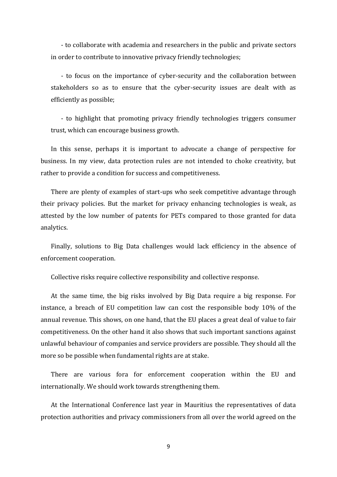- to collaborate with academia and researchers in the public and private sectors in order to contribute to innovative privacy friendly technologies;

- to focus on the importance of cyber-security and the collaboration between stakeholders so as to ensure that the cyber-security issues are dealt with as efficiently as possible;

- to highlight that promoting privacy friendly technologies triggers consumer trust, which can encourage business growth.

In this sense, perhaps it is important to advocate a change of perspective for business. In my view, data protection rules are not intended to choke creativity, but rather to provide a condition for success and competitiveness.

There are plenty of examples of start-ups who seek competitive advantage through their privacy policies. But the market for privacy enhancing technologies is weak, as attested by the low number of patents for PETs compared to those granted for data analytics.

Finally, solutions to Big Data challenges would lack efficiency in the absence of enforcement cooperation.

Collective risks require collective responsibility and collective response.

At the same time, the big risks involved by Big Data require a big response. For instance, a breach of EU competition law can cost the responsible body 10% of the annual revenue. This shows, on one hand, that the EU places a great deal of value to fair competitiveness. On the other hand it also shows that such important sanctions against unlawful behaviour of companies and service providers are possible. They should all the more so be possible when fundamental rights are at stake.

There are various fora for enforcement cooperation within the EU and internationally. We should work towards strengthening them.

At the International Conference last year in Mauritius the representatives of data protection authorities and privacy commissioners from all over the world agreed on the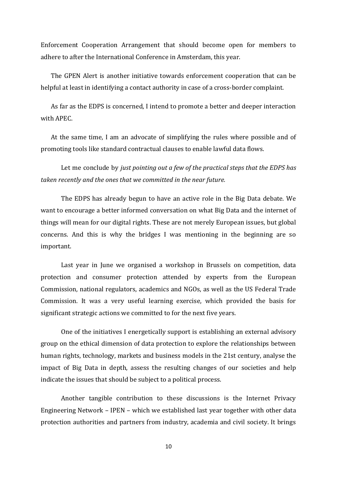Enforcement Cooperation Arrangement that should become open for members to adhere to after the International Conference in Amsterdam, this year.

The GPEN Alert is another initiative towards enforcement cooperation that can be helpful at least in identifying a contact authority in case of a cross-border complaint.

As far as the EDPS is concerned, I intend to promote a better and deeper interaction with APEC.

At the same time, I am an advocate of simplifying the rules where possible and of promoting tools like standard contractual clauses to enable lawful data flows.

Let me conclude by *just pointing out a few of the practical steps that the EDPS has taken recently and the ones that we committed in the near future.*

The EDPS has already begun to have an active role in the Big Data debate. We want to encourage a better informed conversation on what Big Data and the internet of things will mean for our digital rights. These are not merely European issues, but global concerns. And this is why the bridges I was mentioning in the beginning are so important.

Last year in June we organised a workshop in Brussels on competition, data protection and consumer protection attended by experts from the European Commission, national regulators, academics and NGOs, as well as the US Federal Trade Commission. It was a very useful learning exercise, which provided the basis for significant strategic actions we committed to for the next five years.

One of the initiatives I energetically support is establishing an external advisory group on the ethical dimension of data protection to explore the relationships between human rights, technology, markets and business models in the 21st century, analyse the impact of Big Data in depth, assess the resulting changes of our societies and help indicate the issues that should be subject to a political process.

Another tangible contribution to these discussions is the Internet Privacy Engineering Network – IPEN – which we established last year together with other data protection authorities and partners from industry, academia and civil society. It brings